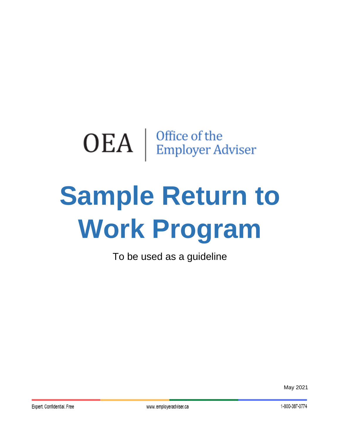# $\mathrm{OEA}~|~^{\mathrm{Office~of~the}}_{\mathrm{Employee~Adviser}}$

# **Sample Return to Work Program**

To be used as a guideline

May 2021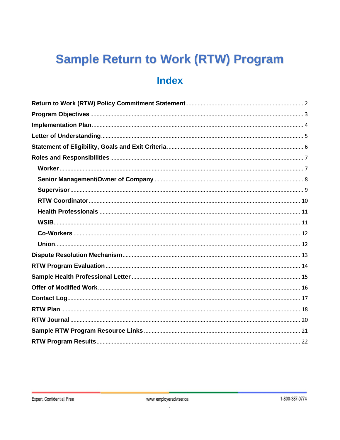## **Sample Return to Work (RTW) Program Index**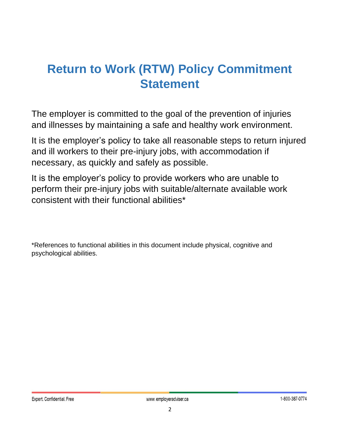### <span id="page-2-0"></span>**Return to Work (RTW) Policy Commitment Statement**

The employer is committed to the goal of the prevention of injuries and illnesses by maintaining a safe and healthy work environment.

It is the employer's policy to take all reasonable steps to return injured and ill workers to their pre-injury jobs, with accommodation if necessary, as quickly and safely as possible.

It is the employer's policy to provide workers who are unable to perform their pre-injury jobs with suitable/alternate available work consistent with their functional abilities\*

\*References to functional abilities in this document include physical, cognitive and psychological abilities.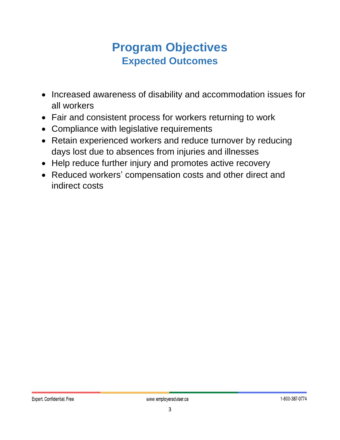### **Program Objectives Expected Outcomes**

- <span id="page-3-0"></span>• Increased awareness of disability and accommodation issues for all workers
- Fair and consistent process for workers returning to work
- Compliance with legislative requirements
- Retain experienced workers and reduce turnover by reducing days lost due to absences from injuries and illnesses
- Help reduce further injury and promotes active recovery
- Reduced workers' compensation costs and other direct and indirect costs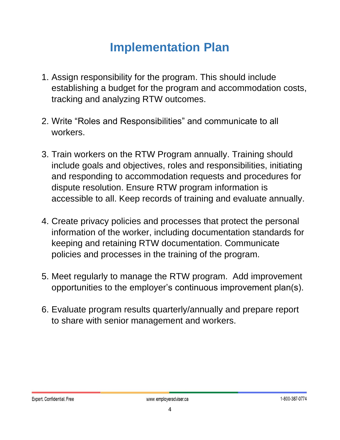### **Implementation Plan**

- <span id="page-4-0"></span>1. Assign responsibility for the program. This should include establishing a budget for the program and accommodation costs, tracking and analyzing RTW outcomes.
- 2. Write "Roles and Responsibilities" and communicate to all workers.
- 3. Train workers on the RTW Program annually. Training should include goals and objectives, roles and responsibilities, initiating and responding to accommodation requests and procedures for dispute resolution. Ensure RTW program information is accessible to all. Keep records of training and evaluate annually.
- 4. Create privacy policies and processes that protect the personal information of the worker, including documentation standards for keeping and retaining RTW documentation. Communicate policies and processes in the training of the program.
- 5. Meet regularly to manage the RTW program. Add improvement opportunities to the employer's continuous improvement plan(s).
- 6. Evaluate program results quarterly/annually and prepare report to share with senior management and workers.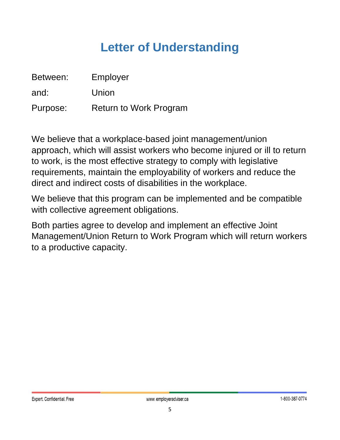### **Letter of Understanding**

<span id="page-5-0"></span>

| Between: | Employer                      |
|----------|-------------------------------|
| and:     | Union                         |
| Purpose: | <b>Return to Work Program</b> |

We believe that a workplace-based joint management/union approach, which will assist workers who become injured or ill to return to work, is the most effective strategy to comply with legislative requirements, maintain the employability of workers and reduce the direct and indirect costs of disabilities in the workplace.

We believe that this program can be implemented and be compatible with collective agreement obligations.

Both parties agree to develop and implement an effective Joint Management/Union Return to Work Program which will return workers to a productive capacity.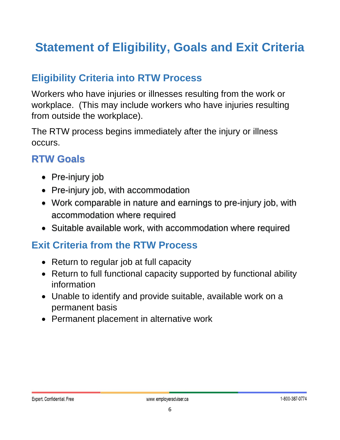### <span id="page-6-0"></span>**Statement of Eligibility, Goals and Exit Criteria**

#### **Eligibility Criteria into RTW Process**

Workers who have injuries or illnesses resulting from the work or workplace. (This may include workers who have injuries resulting from outside the workplace).

The RTW process begins immediately after the injury or illness occurs.

#### **RTW Goals**

- Pre-injury job
- Pre-injury job, with accommodation
- Work comparable in nature and earnings to pre-injury job, with accommodation where required
- Suitable available work, with accommodation where required

#### **Exit Criteria from the RTW Process**

- Return to regular job at full capacity
- Return to full functional capacity supported by functional ability information
- Unable to identify and provide suitable, available work on a permanent basis
- Permanent placement in alternative work

#### Expert. Confidential. Free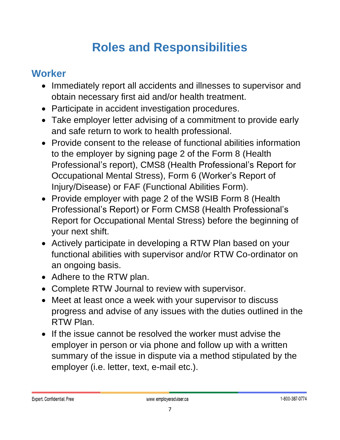### **Roles and Responsibilities**

#### <span id="page-7-1"></span><span id="page-7-0"></span>**Worker**

- Immediately report all accidents and illnesses to supervisor and obtain necessary first aid and/or health treatment.
- Participate in accident investigation procedures.
- Take employer letter advising of a commitment to provide early and safe return to work to health professional.
- Provide consent to the release of functional abilities information to the employer by signing page 2 of the Form 8 (Health Professional's report), CMS8 (Health Professional's Report for Occupational Mental Stress), Form 6 (Worker's Report of Injury/Disease) or FAF (Functional Abilities Form).
- Provide employer with page 2 of the WSIB Form 8 (Health Professional's Report) or Form CMS8 (Health Professional's Report for Occupational Mental Stress) before the beginning of your next shift.
- Actively participate in developing a RTW Plan based on your functional abilities with supervisor and/or RTW Co-ordinator on an ongoing basis.
- Adhere to the RTW plan.
- Complete RTW Journal to review with supervisor.
- Meet at least once a week with your supervisor to discuss progress and advise of any issues with the duties outlined in the RTW Plan.
- If the issue cannot be resolved the worker must advise the employer in person or via phone and follow up with a written summary of the issue in dispute via a method stipulated by the employer (i.e. letter, text, e-mail etc.).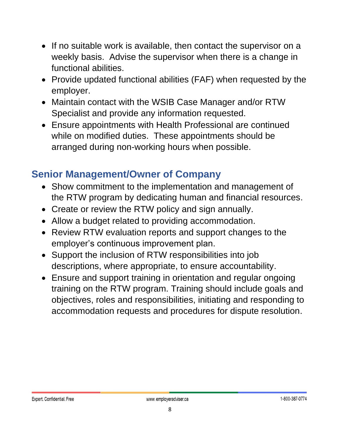- If no suitable work is available, then contact the supervisor on a weekly basis. Advise the supervisor when there is a change in functional abilities.
- Provide updated functional abilities (FAF) when requested by the employer.
- Maintain contact with the WSIB Case Manager and/or RTW Specialist and provide any information requested.
- Ensure appointments with Health Professional are continued while on modified duties. These appointments should be arranged during non-working hours when possible.

#### <span id="page-8-0"></span>**Senior Management/Owner of Company**

- Show commitment to the implementation and management of the RTW program by dedicating human and financial resources.
- Create or review the RTW policy and sign annually.
- Allow a budget related to providing accommodation.
- Review RTW evaluation reports and support changes to the employer's continuous improvement plan.
- Support the inclusion of RTW responsibilities into job descriptions, where appropriate, to ensure accountability.
- Ensure and support training in orientation and regular ongoing training on the RTW program. Training should include goals and objectives, roles and responsibilities, initiating and responding to accommodation requests and procedures for dispute resolution.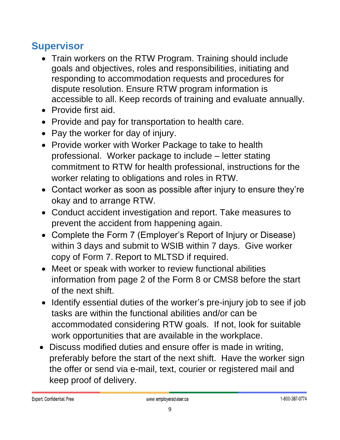#### <span id="page-9-0"></span>**Supervisor**

- Train workers on the RTW Program. Training should include goals and objectives, roles and responsibilities, initiating and responding to accommodation requests and procedures for dispute resolution. Ensure RTW program information is accessible to all. Keep records of training and evaluate annually.
- Provide first aid.
- Provide and pay for transportation to health care.
- Pay the worker for day of injury.
- Provide worker with Worker Package to take to health professional. Worker package to include – letter stating commitment to RTW for health professional, instructions for the worker relating to obligations and roles in RTW.
- Contact worker as soon as possible after injury to ensure they're okay and to arrange RTW.
- Conduct accident investigation and report. Take measures to prevent the accident from happening again.
- Complete the Form 7 (Employer's Report of Injury or Disease) within 3 days and submit to WSIB within 7 days. Give worker copy of Form 7. Report to MLTSD if required.
- Meet or speak with worker to review functional abilities information from page 2 of the Form 8 or CMS8 before the start of the next shift.
- Identify essential duties of the worker's pre-injury job to see if job tasks are within the functional abilities and/or can be accommodated considering RTW goals. If not, look for suitable work opportunities that are available in the workplace.
- Discuss modified duties and ensure offer is made in writing, preferably before the start of the next shift. Have the worker sign the offer or send via e-mail, text, courier or registered mail and keep proof of delivery.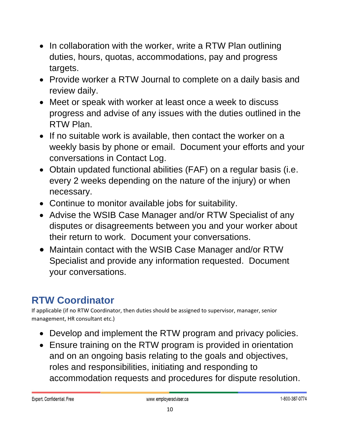- In collaboration with the worker, write a RTW Plan outlining duties, hours, quotas, accommodations, pay and progress targets.
- Provide worker a RTW Journal to complete on a daily basis and review daily.
- Meet or speak with worker at least once a week to discuss progress and advise of any issues with the duties outlined in the RTW Plan.
- If no suitable work is available, then contact the worker on a weekly basis by phone or email. Document your efforts and your conversations in Contact Log.
- Obtain updated functional abilities (FAF) on a regular basis (i.e. every 2 weeks depending on the nature of the injury) or when necessary.
- Continue to monitor available jobs for suitability.
- Advise the WSIB Case Manager and/or RTW Specialist of any disputes or disagreements between you and your worker about their return to work. Document your conversations.
- Maintain contact with the WSIB Case Manager and/or RTW Specialist and provide any information requested. Document your conversations.

### <span id="page-10-0"></span>**RTW Coordinator**

If applicable (if no RTW Coordinator, then duties should be assigned to supervisor, manager, senior management, HR consultant etc.)

- Develop and implement the RTW program and privacy policies.
- Ensure training on the RTW program is provided in orientation and on an ongoing basis relating to the goals and objectives, roles and responsibilities, initiating and responding to accommodation requests and procedures for dispute resolution.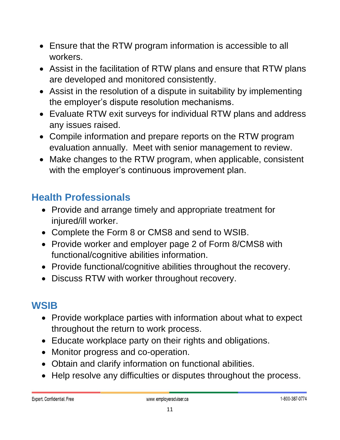- Ensure that the RTW program information is accessible to all workers.
- Assist in the facilitation of RTW plans and ensure that RTW plans are developed and monitored consistently.
- Assist in the resolution of a dispute in suitability by implementing the employer's dispute resolution mechanisms.
- Evaluate RTW exit surveys for individual RTW plans and address any issues raised.
- Compile information and prepare reports on the RTW program evaluation annually. Meet with senior management to review.
- Make changes to the RTW program, when applicable, consistent with the employer's continuous improvement plan.

### <span id="page-11-0"></span>**Health Professionals**

- Provide and arrange timely and appropriate treatment for injured/ill worker.
- Complete the Form 8 or CMS8 and send to WSIB.
- Provide worker and employer page 2 of Form 8/CMS8 with functional/cognitive abilities information.
- Provide functional/cognitive abilities throughout the recovery.
- Discuss RTW with worker throughout recovery.

### <span id="page-11-1"></span>**WSIB**

- Provide workplace parties with information about what to expect throughout the return to work process.
- Educate workplace party on their rights and obligations.
- Monitor progress and co-operation.
- Obtain and clarify information on functional abilities.
- Help resolve any difficulties or disputes throughout the process.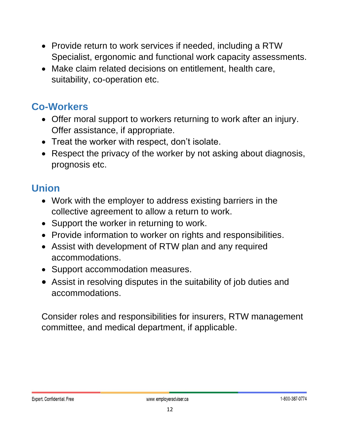- Provide return to work services if needed, including a RTW Specialist, ergonomic and functional work capacity assessments.
- Make claim related decisions on entitlement, health care, suitability, co-operation etc.

#### <span id="page-12-0"></span>**Co-Workers**

- Offer moral support to workers returning to work after an injury. Offer assistance, if appropriate.
- Treat the worker with respect, don't isolate.
- Respect the privacy of the worker by not asking about diagnosis, prognosis etc.

#### <span id="page-12-1"></span>**Union**

- Work with the employer to address existing barriers in the collective agreement to allow a return to work.
- Support the worker in returning to work.
- Provide information to worker on rights and responsibilities.
- Assist with development of RTW plan and any required accommodations.
- Support accommodation measures.
- Assist in resolving disputes in the suitability of job duties and accommodations.

Consider roles and responsibilities for insurers, RTW management committee, and medical department, if applicable.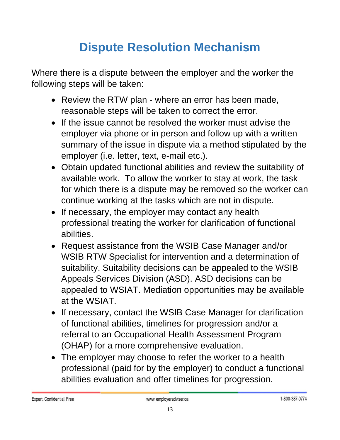## **Dispute Resolution Mechanism**

<span id="page-13-0"></span>Where there is a dispute between the employer and the worker the following steps will be taken:

- Review the RTW plan where an error has been made, reasonable steps will be taken to correct the error.
- If the issue cannot be resolved the worker must advise the employer via phone or in person and follow up with a written summary of the issue in dispute via a method stipulated by the employer (i.e. letter, text, e-mail etc.).
- Obtain updated functional abilities and review the suitability of available work. To allow the worker to stay at work, the task for which there is a dispute may be removed so the worker can continue working at the tasks which are not in dispute.
- If necessary, the employer may contact any health professional treating the worker for clarification of functional abilities.
- Request assistance from the WSIB Case Manager and/or WSIB RTW Specialist for intervention and a determination of suitability. Suitability decisions can be appealed to the WSIB Appeals Services Division (ASD). ASD decisions can be appealed to WSIAT. Mediation opportunities may be available at the WSIAT.
- If necessary, contact the WSIB Case Manager for clarification of functional abilities, timelines for progression and/or a referral to an Occupational Health Assessment Program (OHAP) for a more comprehensive evaluation.
- The employer may choose to refer the worker to a health professional (paid for by the employer) to conduct a functional abilities evaluation and offer timelines for progression.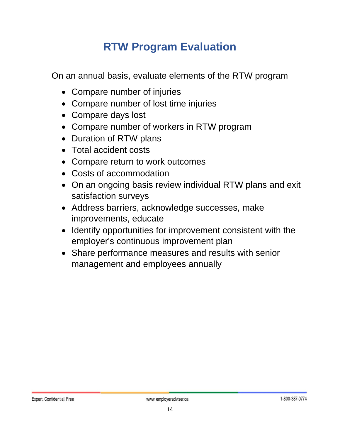### **RTW Program Evaluation**

<span id="page-14-0"></span>On an annual basis, evaluate elements of the RTW program

- Compare number of injuries
- Compare number of lost time injuries
- Compare days lost
- Compare number of workers in RTW program
- Duration of RTW plans
- Total accident costs
- Compare return to work outcomes
- Costs of accommodation
- On an ongoing basis review individual RTW plans and exit satisfaction surveys
- Address barriers, acknowledge successes, make improvements, educate
- Identify opportunities for improvement consistent with the employer's continuous improvement plan
- Share performance measures and results with senior management and employees annually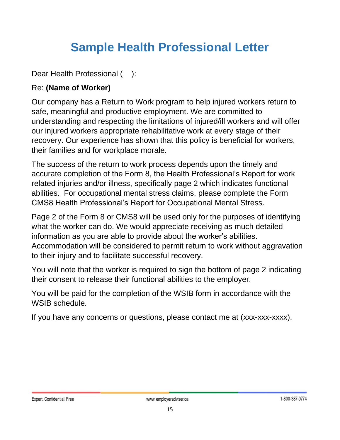### **Sample Health Professional Letter**

<span id="page-15-0"></span>Dear Health Professional ():

#### Re: **(Name of Worker)**

Our company has a Return to Work program to help injured workers return to safe, meaningful and productive employment. We are committed to understanding and respecting the limitations of injured/ill workers and will offer our injured workers appropriate rehabilitative work at every stage of their recovery. Our experience has shown that this policy is beneficial for workers, their families and for workplace morale.

The success of the return to work process depends upon the timely and accurate completion of the Form 8, the Health Professional's Report for work related injuries and/or illness, specifically page 2 which indicates functional abilities. For occupational mental stress claims, please complete the Form CMS8 Health Professional's Report for Occupational Mental Stress.

Page 2 of the Form 8 or CMS8 will be used only for the purposes of identifying what the worker can do. We would appreciate receiving as much detailed information as you are able to provide about the worker's abilities. Accommodation will be considered to permit return to work without aggravation to their injury and to facilitate successful recovery.

You will note that the worker is required to sign the bottom of page 2 indicating their consent to release their functional abilities to the employer.

You will be paid for the completion of the WSIB form in accordance with the WSIB schedule.

If you have any concerns or questions, please contact me at (xxx-xxx-xxxx).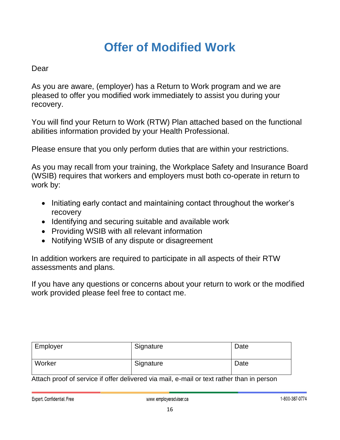### **Offer of Modified Work**

#### <span id="page-16-0"></span>Dear

As you are aware, (employer) has a Return to Work program and we are pleased to offer you modified work immediately to assist you during your recovery.

You will find your Return to Work (RTW) Plan attached based on the functional abilities information provided by your Health Professional.

Please ensure that you only perform duties that are within your restrictions.

As you may recall from your training, the Workplace Safety and Insurance Board (WSIB) requires that workers and employers must both co-operate in return to work by:

- Initiating early contact and maintaining contact throughout the worker's recovery
- Identifying and securing suitable and available work
- Providing WSIB with all relevant information
- Notifying WSIB of any dispute or disagreement

In addition workers are required to participate in all aspects of their RTW assessments and plans.

If you have any questions or concerns about your return to work or the modified work provided please feel free to contact me.

| Employer | Signature | Date |
|----------|-----------|------|
| Worker   | Signature | Date |

Attach proof of service if offer delivered via mail, e-mail or text rather than in person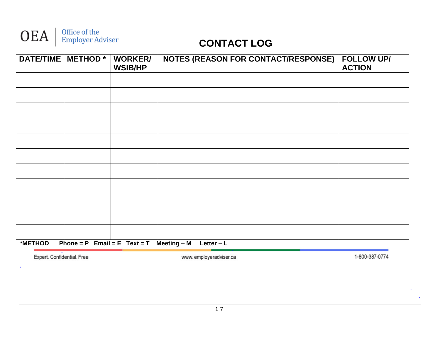

| DATE/TIME   METHOD * |                                  | <b>WORKER/</b><br><b>WSIB/HP</b> | <b>NOTES (REASON FOR CONTACT/RESPONSE)</b> | <b>FOLLOW UP/</b><br><b>ACTION</b> |
|----------------------|----------------------------------|----------------------------------|--------------------------------------------|------------------------------------|
|                      |                                  |                                  |                                            |                                    |
|                      |                                  |                                  |                                            |                                    |
|                      |                                  |                                  |                                            |                                    |
|                      |                                  |                                  |                                            |                                    |
|                      |                                  |                                  |                                            |                                    |
|                      |                                  |                                  |                                            |                                    |
|                      |                                  |                                  |                                            |                                    |
|                      |                                  |                                  |                                            |                                    |
|                      |                                  |                                  |                                            |                                    |
|                      |                                  |                                  |                                            |                                    |
|                      |                                  |                                  |                                            |                                    |
| *METHOD              | Phone = $P$ Email = $E$ Text = T |                                  | Meeting – M<br>Letter $-L$                 |                                    |

Expert. Confidential. Free

 $\sim$ 

www.employeradviser.ca

1-800-387-0774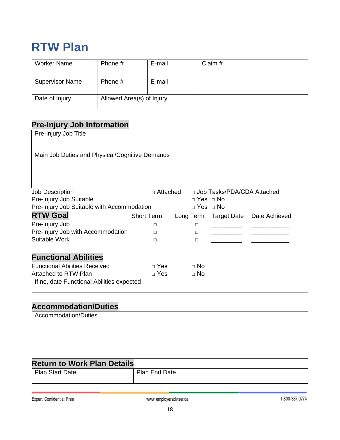### <span id="page-18-0"></span>**RTW Plan**

| Worker Name            | Phone #                   | E-mail | Claim # |
|------------------------|---------------------------|--------|---------|
|                        |                           |        |         |
| <b>Supervisor Name</b> | Phone #                   | E-mail |         |
|                        |                           |        |         |
| Date of Injury         | Allowed Area(s) of Injury |        |         |
|                        |                           |        |         |

#### **Pre-Injury Job Information**

| Pre-Injury Job Title                           |                   |                      |                              |                                     |
|------------------------------------------------|-------------------|----------------------|------------------------------|-------------------------------------|
|                                                |                   |                      |                              |                                     |
| Main Job Duties and Physical/Cognitive Demands |                   |                      |                              |                                     |
|                                                |                   |                      |                              |                                     |
|                                                |                   |                      |                              |                                     |
|                                                |                   |                      |                              |                                     |
| <b>Job Description</b>                         | $\sqcap$ Attached |                      | □ Job Tasks/PDA/CDA Attached |                                     |
| Pre-Injury Job Suitable                        |                   | $\Box$ Yes $\Box$ No |                              |                                     |
| Pre-Injury Job Suitable with Accommodation     |                   | $\Box$ Yes $\Box$ No |                              |                                     |
| <b>RTW Goal</b>                                | <b>Short Term</b> |                      |                              | Long Term Target Date Date Achieved |
| Pre-Injury Job                                 | □                 | $\Box$               |                              |                                     |
| Pre-Injury Job with Accommodation              | П                 | $\Box$               |                              |                                     |
| Suitable Work                                  | П                 | $\Box$               |                              |                                     |
|                                                |                   |                      |                              |                                     |
| <b>Functional Abilities</b>                    |                   |                      |                              |                                     |
| <b>Functional Abilities Received</b>           | $\Box$ Yes        | $\Box$ No            |                              |                                     |
| Attached to RTW Plan                           | $\Box$ Yes        | $\Box$ No            |                              |                                     |
| If no, date Functional Abilities expected      |                   |                      |                              |                                     |

#### **Accommodation/Duties**

| Accommodation/Duties               |               |
|------------------------------------|---------------|
|                                    |               |
| <b>Return to Work Plan Details</b> |               |
| <b>Plan Start Date</b>             | Plan End Date |

Expert. Confidential. Free

www.employeradviser.ca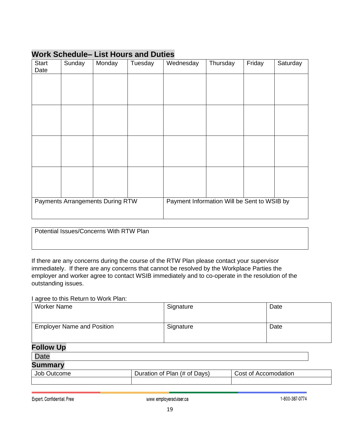| <b>Start</b><br>Date | Sunday | Monday                           | Tuesday | Wednesday                                   | Thursday | Friday | Saturday |
|----------------------|--------|----------------------------------|---------|---------------------------------------------|----------|--------|----------|
|                      |        |                                  |         |                                             |          |        |          |
|                      |        |                                  |         |                                             |          |        |          |
|                      |        |                                  |         |                                             |          |        |          |
|                      |        |                                  |         |                                             |          |        |          |
|                      |        |                                  |         |                                             |          |        |          |
|                      |        |                                  |         |                                             |          |        |          |
|                      |        |                                  |         |                                             |          |        |          |
|                      |        |                                  |         |                                             |          |        |          |
|                      |        | Payments Arrangements During RTW |         | Payment Information Will be Sent to WSIB by |          |        |          |
|                      |        |                                  |         |                                             |          |        |          |

#### **Work Schedule– List Hours and Duties**

Potential Issues/Concerns With RTW Plan

If there are any concerns during the course of the RTW Plan please contact your supervisor immediately. If there are any concerns that cannot be resolved by the Workplace Parties the employer and worker agree to contact WSIB immediately and to co-operate in the resolution of the outstanding issues.

#### I agree to this Return to Work Plan:

| <b>Worker Name</b>                | Signature                    | Date                 |
|-----------------------------------|------------------------------|----------------------|
|                                   |                              |                      |
|                                   |                              |                      |
| <b>Employer Name and Position</b> | Signature                    | Date                 |
|                                   |                              |                      |
| <b>Follow Up</b>                  |                              |                      |
|                                   |                              |                      |
| <b>Date</b>                       |                              |                      |
| <b>Summary</b>                    |                              |                      |
| Job Outcome                       | Duration of Plan (# of Days) | Cost of Accomodation |
|                                   |                              |                      |

Expert. Confidential. Free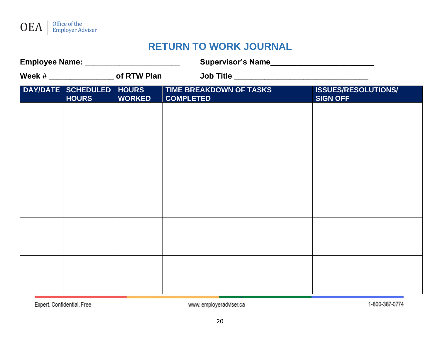

#### **RETURN TO WORK JOURNAL**

| Employee Name: ___________________________ |                                          |               |                                               |                                               |
|--------------------------------------------|------------------------------------------|---------------|-----------------------------------------------|-----------------------------------------------|
|                                            | Week # ____________________ of RTW Plan  |               | Job Title ___________________________________ |                                               |
|                                            | DAY/DATE SCHEDULED HOURS<br><b>HOURS</b> | <b>WORKED</b> | TIME BREAKDOWN OF TASKS<br><b>COMPLETED</b>   | <b>ISSUES/RESOLUTIONS/</b><br><b>SIGN OFF</b> |
|                                            |                                          |               |                                               |                                               |
|                                            |                                          |               |                                               |                                               |
|                                            |                                          |               |                                               |                                               |
|                                            |                                          |               |                                               |                                               |
|                                            |                                          |               |                                               |                                               |
|                                            |                                          |               |                                               |                                               |
|                                            |                                          |               |                                               |                                               |
|                                            |                                          |               |                                               |                                               |
|                                            |                                          |               |                                               |                                               |
|                                            |                                          |               |                                               |                                               |

Expert. Confidential. Free

www.employeradviser.ca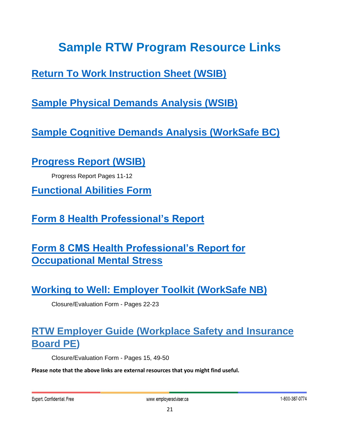### **Sample RTW Program Resource Links**

<span id="page-21-0"></span>**[Return To Work Instruction Sheet \(WSIB\)](https://www.wsib.ca/en/injured-or-ill-people/return-work/your-return-work-responsibilities)**

**[Sample Physical Demands Analysis \(WSIB\)](https://www.wsib.ca/sites/default/files/2019-02/pdif_1.pdf)**

**[Sample Cognitive Demands Analysis \(WorkSafe BC\)](https://www.worksafebc.com/en/resources/health-care-providers/forms/cognitive-job-demands-analysis-83d468?lang=en&origin=s&returnurl=https%3A%2F%2Fwww.worksafebc.com%2Fen%2Fsearch%23q%3Dcognitive%2520demands%26sort%3Drelevancy%26f%3Alanguage-facet%3D%5BEnglish%5D)**

**[Progress Report \(WSIB\)](https://www.wsib.ca/sites/default/files/documents/2019-01/samplertwpackage.pdf)**

Progress Report Pages 11-12

**[Functional Abilities Form](https://www.wsib.ca/sites/default/files/documents/2018-12/2647a0706.pdf)**

**[Form 8 Health Professional's Report](https://www.sgdsb.on.ca/upload/documents/wsib-form-8-functional-abilities.pdf)**

**[Form 8 CMS Health Professional's Report for](https://www.wsib.ca/sites/default/files/2019-02/0010a_fs_10_17_1.pdf)  [Occupational Mental Stress](https://www.wsib.ca/sites/default/files/2019-02/0010a_fs_10_17_1.pdf)**

**Working [to Well: Employer Toolkit \(WorkSafe NB\)](https://www.worksafenb.ca/media/60320/working-to-well-employer-toolkit-e.pdf)**

Closure/Evaluation Form - Pages 22-23

#### **[RTW Employer Guide \(Workplace Safety and Insurance](http://www.wcb.pe.ca/DocumentManagement/Document/pub_returntoworkemployerguide.pdf)  [Board](http://www.wcb.pe.ca/DocumentManagement/Document/pub_returntoworkemployerguide.pdf) PE)**

Closure/Evaluation Form - Pages 15, 49-50

**Please note that the above links are external resources that you might find useful.**

Expert. Confidential. Free

www.employeradviser.ca